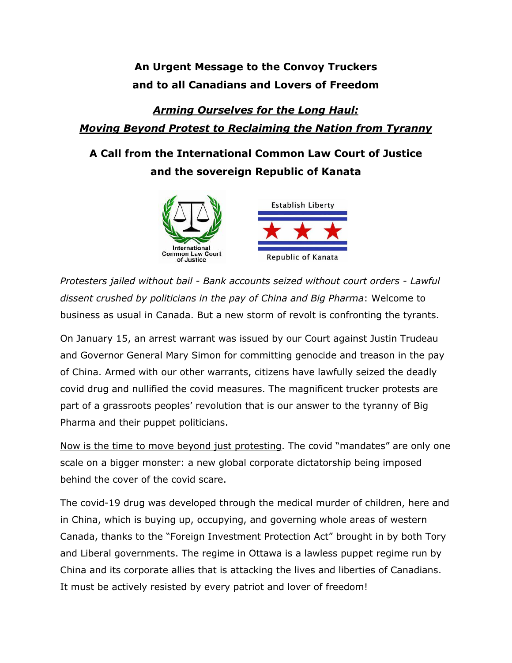## **An Urgent Message to the Convoy Truckers and to all Canadians and Lovers of Freedom**

## *Arming Ourselves for the Long Haul: Moving Beyond Protest to Reclaiming the Nation from Tyranny*

## **A Call from the International Common Law Court of Justice and the sovereign Republic of Kanata**



*Protesters jailed without bail - Bank accounts seized without court orders - Lawful dissent crushed by politicians in the pay of China and Big Pharma*: Welcome to business as usual in Canada. But a new storm of revolt is confronting the tyrants.

On January 15, an arrest warrant was issued by our Court against Justin Trudeau and Governor General Mary Simon for committing genocide and treason in the pay of China. Armed with our other warrants, citizens have lawfully seized the deadly covid drug and nullified the covid measures. The magnificent trucker protests are part of a grassroots peoples' revolution that is our answer to the tyranny of Big Pharma and their puppet politicians.

Now is the time to move beyond just protesting. The covid "mandates" are only one scale on a bigger monster: a new global corporate dictatorship being imposed behind the cover of the covid scare.

The covid-19 drug was developed through the medical murder of children, here and in China, which is buying up, occupying, and governing whole areas of western Canada, thanks to the "Foreign Investment Protection Act" brought in by both Tory and Liberal governments. The regime in Ottawa is a lawless puppet regime run by China and its corporate allies that is attacking the lives and liberties of Canadians. It must be actively resisted by every patriot and lover of freedom!